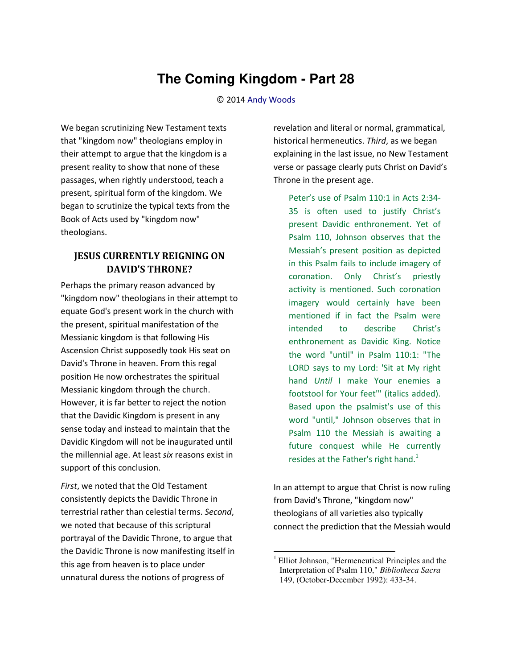## **The Coming Kingdom - Part 28**

## © 2014 [Andy Woods](http://www.spiritandtruth.org/id/aw.htm)

We began scrutinizing New Testament texts that "kingdom now" theologians employ in their attempt to argue that the kingdom is a present reality to show that none of these passages, when rightly understood, teach a present, spiritual form of the kingdom. We began to scrutinize the typical texts from the Book of Acts used by "kingdom now" theologians.

## **JESUS CURRENTLY REIGNING ON DAVID'S THRONE?**

Perhaps the primary reason advanced by "kingdom now" theologians in their attempt to equate God's present work in the church with the present, spiritual manifestation of the Messianic kingdom is that following His Ascension Christ supposedly took His seat on David's Throne in heaven. From this regal position He now orchestrates the spiritual Messianic kingdom through the church. However, it is far better to reject the notion that the Davidic Kingdom is present in any sense today and instead to maintain that the Davidic Kingdom will not be inaugurated until the millennial age. At least *six* reasons exist in support of this conclusion.

*First*, we noted that the Old Testament consistently depicts the Davidic Throne in terrestrial rather than celestial terms. *Second*, we noted that because of this scriptural portrayal of the Davidic Throne, to argue that the Davidic Throne is now manifesting itself in this age from heaven is to place under unnatural duress the notions of progress of

revelation and literal or normal, grammatical, historical hermeneutics. *Third*, as we began explaining in the last issue, no New Testament verse or passage clearly puts Christ on David's Throne in the present age.

Peter's use of Psalm 110:1 in Acts 2:34-35 is often used to justify Christ's present Davidic enthronement. Yet of Psalm 110, Johnson observes that the Messiah's present position as depicted in this Psalm fails to include imagery of coronation. Only Christ's priestly activity is mentioned. Such coronation imagery would certainly have been mentioned if in fact the Psalm were intended to describe Christ's enthronement as Davidic King. Notice the word "until" in Psalm 110:1: "The LORD says to my Lord: 'Sit at My right hand *Until* I make Your enemies a footstool for Your feet'" (italics added). Based upon the psalmist's use of this word "until," Johnson observes that in Psalm 110 the Messiah is awaiting a future conquest while He currently resides at the Father's right hand.<sup>1</sup>

In an attempt to argue that Christ is now ruling from David's Throne, "kingdom now" theologians of all varieties also typically connect the prediction that the Messiah would

 $\overline{a}$ 

<sup>1</sup> Elliot Johnson, "Hermeneutical Principles and the Interpretation of Psalm 110," *Bibliotheca Sacra* 149, (October-December 1992): 433-34.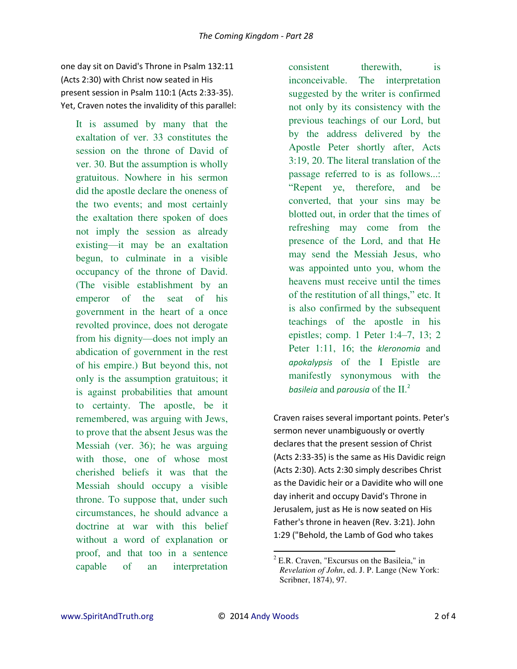one day sit on David's Throne in Psalm 132:11 (Acts 2:30) with Christ now seated in His present session in Psalm 110:1 (Acts 2:33-35). Yet, Craven notes the invalidity of this parallel:

It is assumed by many that the exaltation of ver. 33 constitutes the session on the throne of David of ver. 30. But the assumption is wholly gratuitous. Nowhere in his sermon did the apostle declare the oneness of the two events; and most certainly the exaltation there spoken of does not imply the session as already existing—it may be an exaltation begun, to culminate in a visible occupancy of the throne of David. (The visible establishment by an emperor of the seat of his government in the heart of a once revolted province, does not derogate from his dignity—does not imply an abdication of government in the rest of his empire.) But beyond this, not only is the assumption gratuitous; it is against probabilities that amount to certainty. The apostle, be it remembered, was arguing with Jews, to prove that the absent Jesus was the Messiah (ver. 36); he was arguing with those, one of whose most cherished beliefs it was that the Messiah should occupy a visible throne. To suppose that, under such circumstances, he should advance a doctrine at war with this belief without a word of explanation or proof, and that too in a sentence capable of an interpretation

consistent therewith, is inconceivable. The interpretation suggested by the writer is confirmed not only by its consistency with the previous teachings of our Lord, but by the address delivered by the Apostle Peter shortly after, Acts 3:19, 20. The literal translation of the passage referred to is as follows...: "Repent ye, therefore, and be converted, that your sins may be blotted out, in order that the times of refreshing may come from the presence of the Lord, and that He may send the Messiah Jesus, who was appointed unto you, whom the heavens must receive until the times of the restitution of all things," etc. It is also confirmed by the subsequent teachings of the apostle in his epistles; comp. 1 Peter 1:4–7, 13; 2 Peter 1:11, 16; the *kleronomia* and *apokalypsis* of the I Epistle are manifestly synonymous with the *basileia* and *parousia* of the II.<sup>2</sup>

Craven raises several important points. Peter's sermon never unambiguously or overtly declares that the present session of Christ (Acts 2:33-35) is the same as His Davidic reign (Acts 2:30). Acts 2:30 simply describes Christ as the Davidic heir or a Davidite who will one day inherit and occupy David's Throne in Jerusalem, just as He is now seated on His Father's throne in heaven (Rev. 3:21). John 1:29 ("Behold, the Lamb of God who takes

 $\overline{a}$ 

 $2$  E.R. Craven, "Excursus on the Basileia," in *Revelation of John*, ed. J. P. Lange (New York: Scribner, 1874), 97.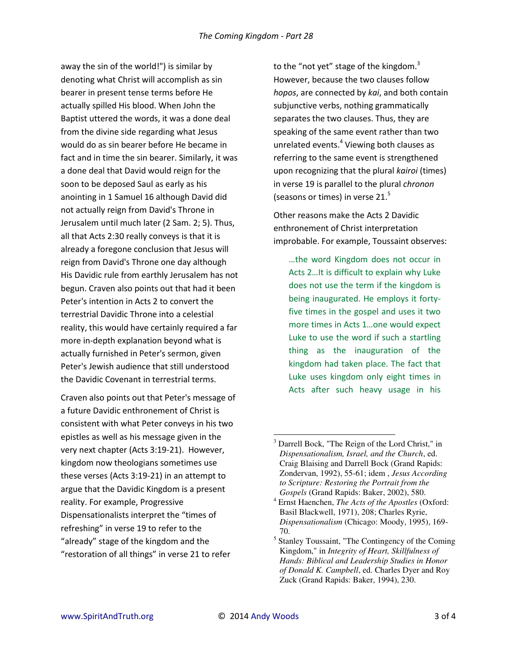away the sin of the world!") is similar by denoting what Christ will accomplish as sin bearer in present tense terms before He actually spilled His blood. When John the Baptist uttered the words, it was a done deal from the divine side regarding what Jesus would do as sin bearer before He became in fact and in time the sin bearer. Similarly, it was a done deal that David would reign for the soon to be deposed Saul as early as his anointing in 1 Samuel 16 although David did not actually reign from David's Throne in Jerusalem until much later (2 Sam. 2; 5). Thus, all that Acts 2:30 really conveys is that it is already a foregone conclusion that Jesus will reign from David's Throne one day although His Davidic rule from earthly Jerusalem has not begun. Craven also points out that had it been Peter's intention in Acts 2 to convert the terrestrial Davidic Throne into a celestial reality, this would have certainly required a far more in-depth explanation beyond what is actually furnished in Peter's sermon, given Peter's Jewish audience that still understood the Davidic Covenant in terrestrial terms.

Craven also points out that Peter's message of a future Davidic enthronement of Christ is consistent with what Peter conveys in his two epistles as well as his message given in the very next chapter (Acts 3:19-21). However, kingdom now theologians sometimes use these verses (Acts 3:19-21) in an attempt to argue that the Davidic Kingdom is a present reality. For example, Progressive Dispensationalists interpret the "times of refreshing" in verse 19 to refer to the "already" stage of the kingdom and the "restoration of all things" in verse 21 to refer

to the "not yet" stage of the kingdom. $3$ However, because the two clauses follow *hopos*, are connected by *kai*, and both contain subjunctive verbs, nothing grammatically separates the two clauses. Thus, they are speaking of the same event rather than two unrelated events.<sup>4</sup> Viewing both clauses as referring to the same event is strengthened upon recognizing that the plural *kairoi* (times) in verse 19 is parallel to the plural *chronon* (seasons or times) in verse 21.<sup>5</sup>

Other reasons make the Acts 2 Davidic enthronement of Christ interpretation improbable. For example, Toussaint observes:

... the word Kingdom does not occur in Acts 2... It is difficult to explain why Luke does not use the term if the kingdom is being inaugurated. He employs it fortyfive times in the gospel and uses it two more times in Acts 1...one would expect Luke to use the word if such a startling thing as the inauguration of the kingdom had taken place. The fact that Luke uses kingdom only eight times in Acts after such heavy usage in his

 $\overline{a}$ <sup>3</sup> Darrell Bock, "The Reign of the Lord Christ," in *Dispensationalism, Israel, and the Church*, ed. Craig Blaising and Darrell Bock (Grand Rapids: Zondervan, 1992), 55-61; idem , *Jesus According to Scripture: Restoring the Portrait from the Gospels* (Grand Rapids: Baker, 2002), 580.

<sup>4</sup> Ernst Haenchen, *The Acts of the Apostles* (Oxford: Basil Blackwell, 1971), 208; Charles Ryrie, *Dispensationalism* (Chicago: Moody, 1995), 169- 70.

<sup>&</sup>lt;sup>5</sup> Stanley Toussaint, "The Contingency of the Coming Kingdom," in *Integrity of Heart, Skillfulness of Hands: Biblical and Leadership Studies in Honor of Donald K. Campbell*, ed. Charles Dyer and Roy Zuck (Grand Rapids: Baker, 1994), 230.